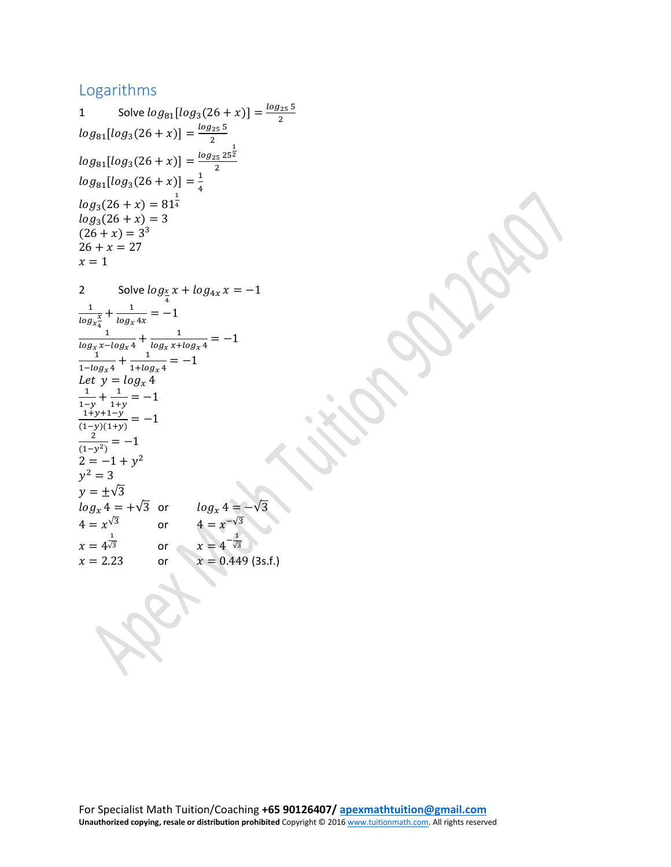## Logarithms

```
1 Solve log_{81}[log_3(26+x)] = \frac{log_{25}5}{2}log_{81}[log_3(26+x)] = \frac{log_{25}5}{2}log_{81}[log_3(26+x)] = \frac{log_{25}25^{\frac{1}{2}}}{2}2
log_{81}[log_3(26 + x)] = \frac{1}{4}log_3(26 + x) = 81^{\frac{1}{4}}log_3(26 + x) = 3(26 + x) = 3<sup>3</sup>26 + x = 27x = 12 Solve log_{\frac{x}{2}} x + log_{4x} x = -1\frac{1}{1} + \frac{1}{1} - \frac{4}{1}log_{x_{4}^{\chi}}4
         +\frac{1}{\log_x 4x} = -1\overline{1}\frac{1}{\log_x x - \log_x 4} + \frac{1}{\log_x x + \log_x 4} = -1\frac{1}{1-\log_x 4} + \frac{1}{1+\log_x 4} = -1Let y = log_x 4<br>\frac{1}{1} + \frac{1}{1} = -1\frac{1}{1-y} + \frac{1}{1+y} = -1\frac{1+y+1-y}{(1-y)(1+y)} = -12
\frac{1}{(1-y^2)} = -12 = -1 + y^2y^2 = 3v = \pm \sqrt{3}log_x 4 = +\sqrt{3} or log_x 4 =<br>4 = x^{\sqrt{3}} or 4 = x^{-\sqrt{3}}4 = x^{\sqrt{3}}x = 41
x = 4^{\sqrt{3}} or x = 2.23 or
                                                  -\frac{1}{\sqrt{2}}√3
                                        x = 0.449 (3s.f.)
```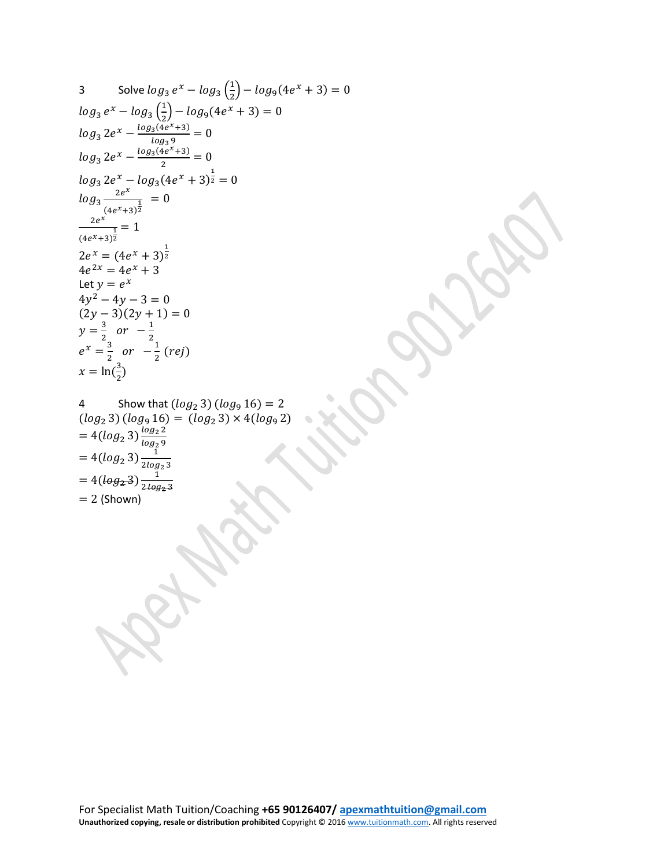3 Solve 
$$
log_3 e^x - log_3(\frac{1}{2}) - log_9(4e^x + 3) = 0
$$
  
\n $log_3 e^x - log_3(\frac{1}{2}) - log_9(4e^x + 3) = 0$   
\n $log_3 2e^x - \frac{log_3(4e^x + 3)}{log_3 9} = 0$   
\n $log_3 2e^x - \frac{log_3(4e^x + 3)}{2} = 0$   
\n $log_3 2e^x - log_3(4e^x + 3)^{\frac{1}{2}} = 0$   
\n $log_3 \frac{2e^x}{(4e^x + 3)^{\frac{1}{2}}} = 0$   
\n $\frac{2e^x}{(4e^x + 3)^{\frac{1}{2}}} = 1$   
\n $\frac{2e^x}{(4e^x + 3)^{\frac{1}{2}}} = 1$   
\n $2e^x = (4e^x + 3)^{\frac{1}{2}}$   
\n $4e^{2x} = 4e^x + 3$   
\nLet  $y = e^x$   
\n $4y^2 - 4y - 3 = 0$   
\n $(2y - 3)(2y + 1) = 0$   
\n $y = \frac{3}{2}$  or  $-\frac{1}{2}$   
\n $e^x = \frac{3}{2}$  or  $-\frac{1}{2}$  (rej)  
\n $x = ln(\frac{3}{2})$ 

4 Show that 
$$
(\log_2 3) (\log_9 16) = 2
$$
  
\n $(\log_2 3) (\log_9 16) = (\log_2 3) \times 4(\log_9 2)$   
\n $= 4(\log_2 3) \frac{\log_2 2}{\log_2 9}$   
\n $= 4(\log_2 3) \frac{1}{2\log_2 3}$   
\n $= 4(\log_2 3) \frac{1}{2\log_3 3}$   
\n $= 2$  (shown)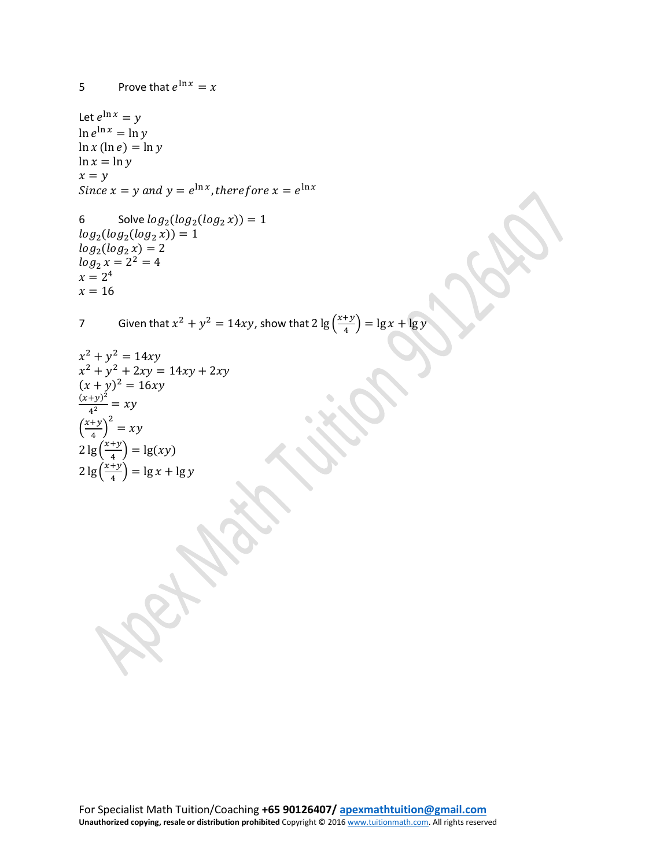Let  $e^{\ln x} = y$  $\ln e^{\ln x} = \ln y$  $\ln x$  (ln e) =  $\ln y$  $\ln x = \ln y$  $x = y$ Since  $x = y$  and  $y = e^{\ln x}$ , therefore  $x = e^{\ln x}$ 

6 Solve  $log_2(log_2(log_2 x)) = 1$  $log_2(log_2(log_2 x)) = 1$  $log_2(log_2 x) = 2$  $log_2 x = 2^2 = 4$  $x = 2^4$  $x = 16$ 

7 Given that  $x^2 + y^2 = 14xy$ , show that  $2 \lg \left( \frac{x+y}{4} \right) = \lg x + \lg y$ 

$$
x2 + y2 = 14xy
$$
  
\n
$$
x2 + y2 + 2xy = 14xy + 2xy
$$
  
\n
$$
(x + y)2 = 16xy
$$
  
\n
$$
\frac{(x+y)2}{42} = xy
$$
  
\n
$$
2 \lg \left(\frac{x+y}{4}\right) = \lg(xy)
$$
  
\n
$$
2 \lg \left(\frac{x+y}{4}\right) = \lg x + \lg y
$$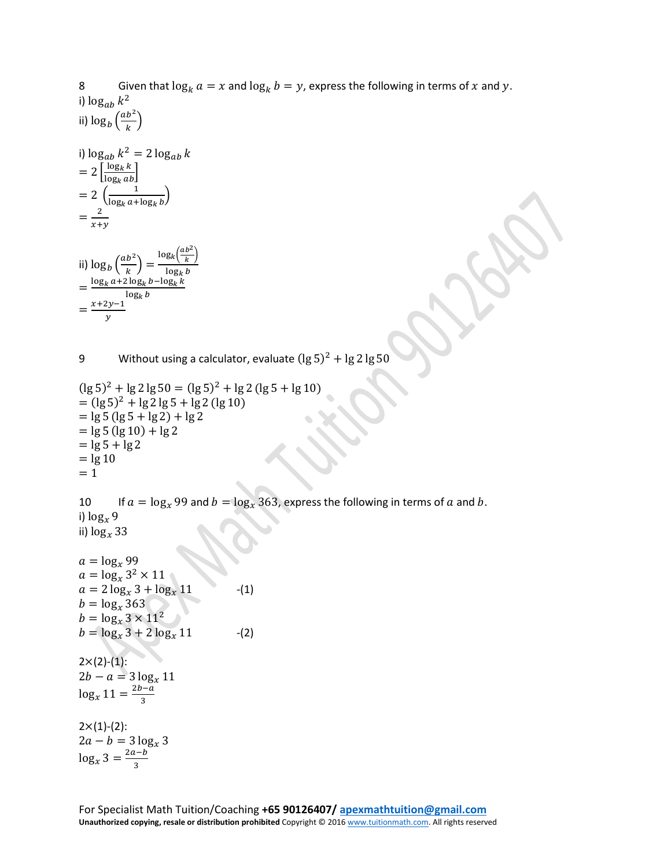8 Given that  $\log_k a = x$  and  $\log_k b = y$ , express the following in terms of x and y. i)  $\log_{ab} k^2$ ii)  $\log_b \left( \frac{ab^2}{k} \right)$ 

i) 
$$
\log_{ab} k^2 = 2 \log_{ab} k
$$
  
\n $= 2 \left[ \frac{\log_k k}{\log_k ab} \right]$   
\n $= 2 \left( \frac{1}{\log_k a + \log_k b} \right)$   
\n $= \frac{2}{x+y}$ 

ii) 
$$
\log_b \left( \frac{ab^2}{k} \right) = \frac{\log_k \left( \frac{ab^2}{k} \right)}{\log_k b}
$$

$$
= \frac{\log_k a + 2 \log_k b - \log_k k}{\log_k b}
$$

$$
= \frac{x + 2y - 1}{y}
$$

9 Without using a calculator, evaluate  $(\lg 5)^2 + \lg 2 \lg 50$ 

```
(\lg 5)^2 + \lg 2 \lg 50 = (\lg 5)^2 + \lg 2 (\lg 5 + \lg 10)= (lg 5)<sup>2</sup> + lg 2 lg 5 + lg 2 (lg 10)
= lg 5 (lg 5 + lg 2) + lg 2
= lg 5 (lg 10) + lg 2
= lg 5 + lg 2
= lg 10
= 110 If a = \log_x 99 and b = \log_x 363, express the following in terms of a and b.
i) \log_x 9ii) \log_{x} 33a = \log_x 99a = \log_{x} 3^{2} \times 11a = 2 \log_x 3 + \log_x 11 -(1)
b = \log_x 363b = \log_x 3 \times 11^2b = \log_x 3 + 2 \log_x 11 -(2)
2\times(2)-(1):
2b - a = 3 \log_x 11
```

```
\log_x 11 = \frac{2b-a}{3}
```
 $2\times(1)-(2)$ :  $2a - b = 3 \log_x 3$  $\log_x 3 = \frac{2a-b}{3}$